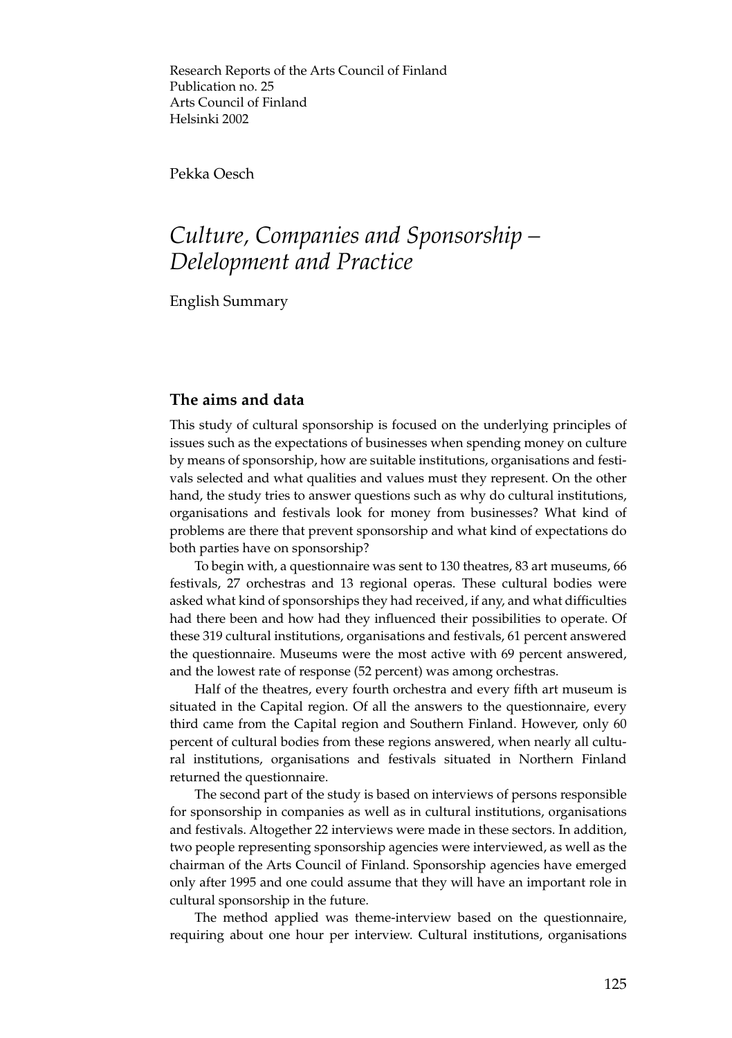Research Reports of the Arts Council of Finland Publication no. 25 Arts Council of Finland Helsinki 2002

Pekka Oesch

# *Culture, Companies and Sponsorship – Delelopment and Practice*

English Summary

## **The aims and data**

This study of cultural sponsorship is focused on the underlying principles of issues such as the expectations of businesses when spending money on culture by means of sponsorship, how are suitable institutions, organisations and festivals selected and what qualities and values must they represent. On the other hand, the study tries to answer questions such as why do cultural institutions, organisations and festivals look for money from businesses? What kind of problems are there that prevent sponsorship and what kind of expectations do both parties have on sponsorship?

To begin with, a questionnaire was sent to 130 theatres, 83 art museums, 66 festivals, 27 orchestras and 13 regional operas. These cultural bodies were asked what kind of sponsorships they had received, if any, and what difficulties had there been and how had they influenced their possibilities to operate. Of these 319 cultural institutions, organisations and festivals, 61 percent answered the questionnaire. Museums were the most active with 69 percent answered, and the lowest rate of response (52 percent) was among orchestras.

Half of the theatres, every fourth orchestra and every fifth art museum is situated in the Capital region. Of all the answers to the questionnaire, every third came from the Capital region and Southern Finland. However, only 60 percent of cultural bodies from these regions answered, when nearly all cultural institutions, organisations and festivals situated in Northern Finland returned the questionnaire.

The second part of the study is based on interviews of persons responsible for sponsorship in companies as well as in cultural institutions, organisations and festivals. Altogether 22 interviews were made in these sectors. In addition, two people representing sponsorship agencies were interviewed, as well as the chairman of the Arts Council of Finland. Sponsorship agencies have emerged only after 1995 and one could assume that they will have an important role in cultural sponsorship in the future.

The method applied was theme-interview based on the questionnaire, requiring about one hour per interview. Cultural institutions, organisations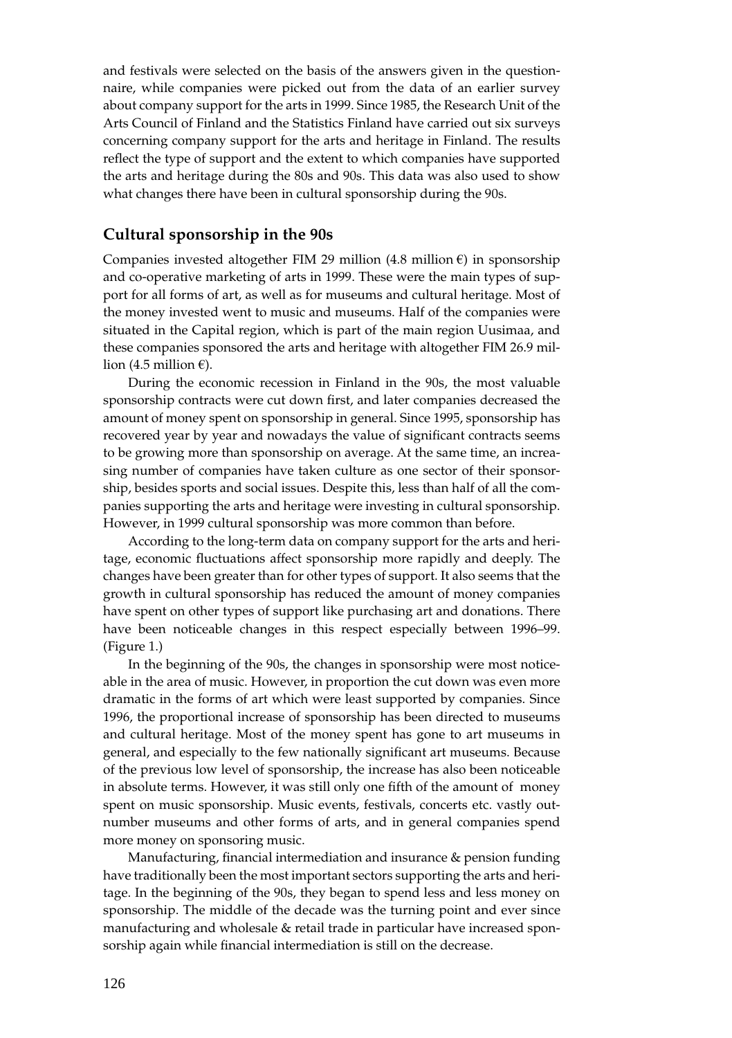and festivals were selected on the basis of the answers given in the questionnaire, while companies were picked out from the data of an earlier survey about company support for the arts in 1999. Since 1985, the Research Unit of the Arts Council of Finland and the Statistics Finland have carried out six surveys concerning company support for the arts and heritage in Finland. The results reflect the type of support and the extent to which companies have supported the arts and heritage during the 80s and 90s. This data was also used to show what changes there have been in cultural sponsorship during the 90s.

#### **Cultural sponsorship in the 90s**

Companies invested altogether FIM 29 million (4.8 million  $\varepsilon$ ) in sponsorship and co-operative marketing of arts in 1999. These were the main types of support for all forms of art, as well as for museums and cultural heritage. Most of the money invested went to music and museums. Half of the companies were situated in the Capital region, which is part of the main region Uusimaa, and these companies sponsored the arts and heritage with altogether FIM 26.9 million (4.5 million  $\varepsilon$ ).

During the economic recession in Finland in the 90s, the most valuable sponsorship contracts were cut down first, and later companies decreased the amount of money spent on sponsorship in general. Since 1995, sponsorship has recovered year by year and nowadays the value of significant contracts seems to be growing more than sponsorship on average. At the same time, an increasing number of companies have taken culture as one sector of their sponsorship, besides sports and social issues. Despite this, less than half of all the companies supporting the arts and heritage were investing in cultural sponsorship. However, in 1999 cultural sponsorship was more common than before.

According to the long-term data on company support for the arts and heritage, economic fluctuations affect sponsorship more rapidly and deeply. The changes have been greater than for other types of support. It also seems that the growth in cultural sponsorship has reduced the amount of money companies have spent on other types of support like purchasing art and donations. There have been noticeable changes in this respect especially between 1996–99. (Figure 1.)

In the beginning of the 90s, the changes in sponsorship were most noticeable in the area of music. However, in proportion the cut down was even more dramatic in the forms of art which were least supported by companies. Since 1996, the proportional increase of sponsorship has been directed to museums and cultural heritage. Most of the money spent has gone to art museums in general, and especially to the few nationally significant art museums. Because of the previous low level of sponsorship, the increase has also been noticeable in absolute terms. However, it was still only one fifth of the amount of money spent on music sponsorship. Music events, festivals, concerts etc. vastly outnumber museums and other forms of arts, and in general companies spend more money on sponsoring music.

Manufacturing, financial intermediation and insurance & pension funding have traditionally been the most important sectors supporting the arts and heritage. In the beginning of the 90s, they began to spend less and less money on sponsorship. The middle of the decade was the turning point and ever since manufacturing and wholesale & retail trade in particular have increased sponsorship again while financial intermediation is still on the decrease.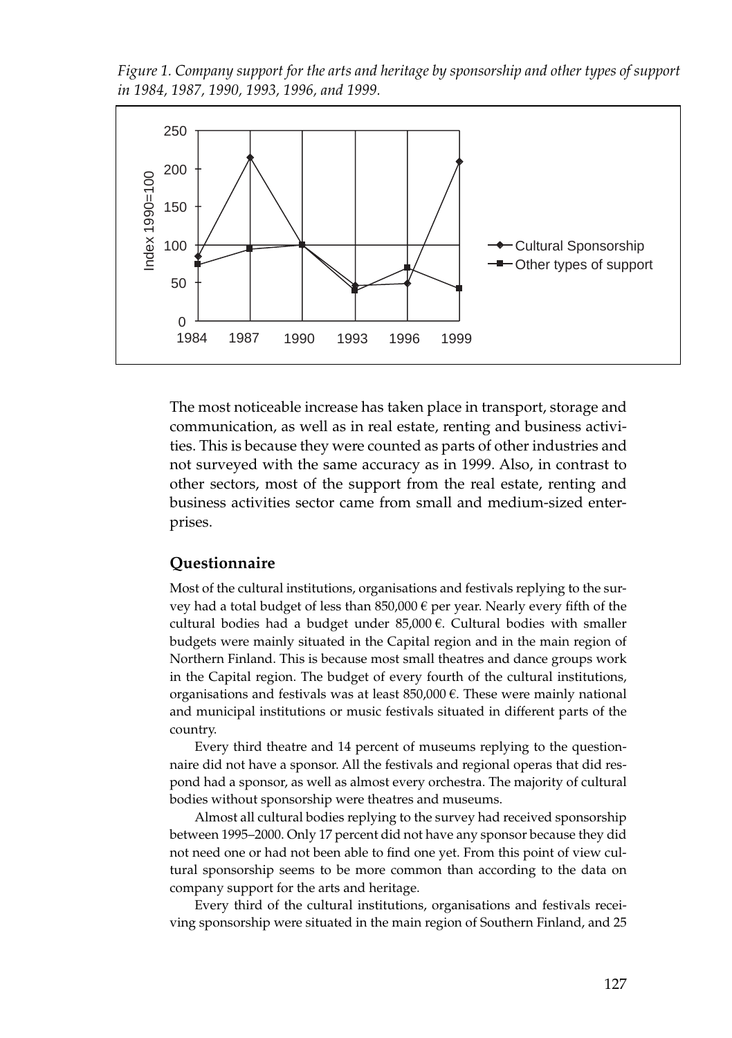*Figure 1. Company support for the arts and heritage by sponsorship and other types of support in 1984, 1987, 1990, 1993, 1996, and 1999.*



The most noticeable increase has taken place in transport, storage and communication, as well as in real estate, renting and business activities. This is because they were counted as parts of other industries and not surveyed with the same accuracy as in 1999. Also, in contrast to other sectors, most of the support from the real estate, renting and business activities sector came from small and medium-sized enterprises.

## **Questionnaire**

Most of the cultural institutions, organisations and festivals replying to the survey had a total budget of less than 850,000  $\epsilon$  per year. Nearly every fifth of the cultural bodies had a budget under  $85,000 \in$ . Cultural bodies with smaller budgets were mainly situated in the Capital region and in the main region of Northern Finland. This is because most small theatres and dance groups work in the Capital region. The budget of every fourth of the cultural institutions, organisations and festivals was at least  $850,000 \in$ . These were mainly national and municipal institutions or music festivals situated in different parts of the country.

Every third theatre and 14 percent of museums replying to the questionnaire did not have a sponsor. All the festivals and regional operas that did respond had a sponsor, as well as almost every orchestra. The majority of cultural bodies without sponsorship were theatres and museums.

Almost all cultural bodies replying to the survey had received sponsorship between 1995–2000. Only 17 percent did not have any sponsor because they did not need one or had not been able to find one yet. From this point of view cultural sponsorship seems to be more common than according to the data on company support for the arts and heritage.

Every third of the cultural institutions, organisations and festivals receiving sponsorship were situated in the main region of Southern Finland, and 25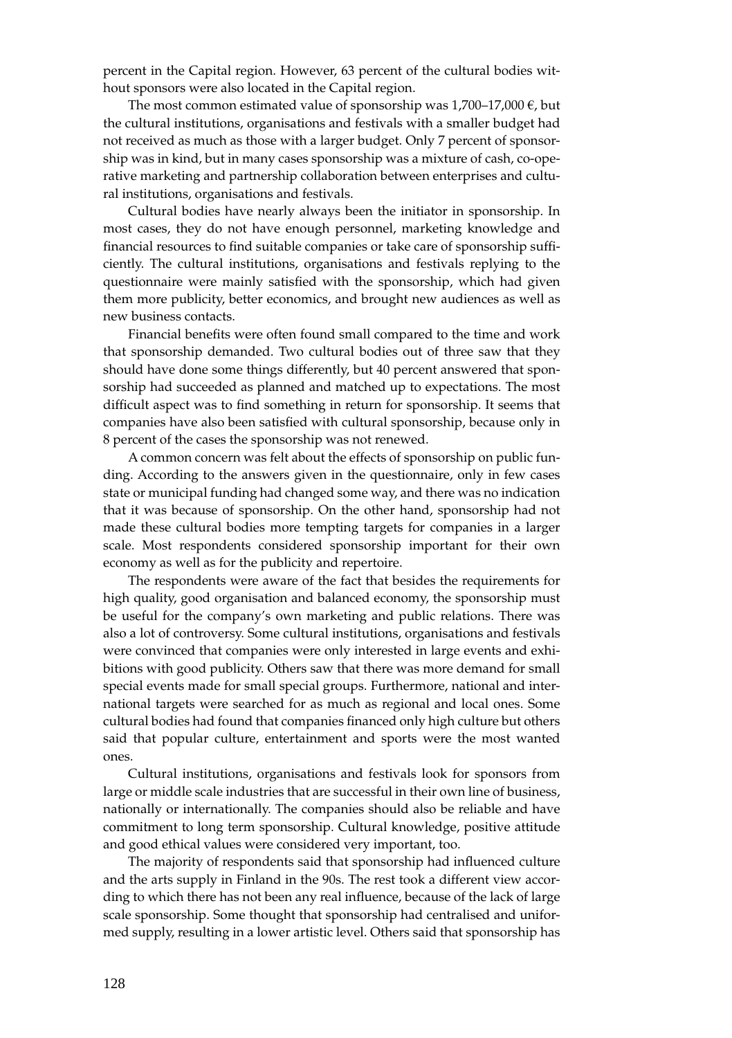percent in the Capital region. However, 63 percent of the cultural bodies without sponsors were also located in the Capital region.

The most common estimated value of sponsorship was  $1,700-17,000 \in$ , but the cultural institutions, organisations and festivals with a smaller budget had not received as much as those with a larger budget. Only 7 percent of sponsorship was in kind, but in many cases sponsorship was a mixture of cash, co-operative marketing and partnership collaboration between enterprises and cultural institutions, organisations and festivals.

Cultural bodies have nearly always been the initiator in sponsorship. In most cases, they do not have enough personnel, marketing knowledge and financial resources to find suitable companies or take care of sponsorship sufficiently. The cultural institutions, organisations and festivals replying to the questionnaire were mainly satisfied with the sponsorship, which had given them more publicity, better economics, and brought new audiences as well as new business contacts.

Financial benefits were often found small compared to the time and work that sponsorship demanded. Two cultural bodies out of three saw that they should have done some things differently, but 40 percent answered that sponsorship had succeeded as planned and matched up to expectations. The most difficult aspect was to find something in return for sponsorship. It seems that companies have also been satisfied with cultural sponsorship, because only in 8 percent of the cases the sponsorship was not renewed.

A common concern was felt about the effects of sponsorship on public funding. According to the answers given in the questionnaire, only in few cases state or municipal funding had changed some way, and there was no indication that it was because of sponsorship. On the other hand, sponsorship had not made these cultural bodies more tempting targets for companies in a larger scale. Most respondents considered sponsorship important for their own economy as well as for the publicity and repertoire.

The respondents were aware of the fact that besides the requirements for high quality, good organisation and balanced economy, the sponsorship must be useful for the company's own marketing and public relations. There was also a lot of controversy. Some cultural institutions, organisations and festivals were convinced that companies were only interested in large events and exhibitions with good publicity. Others saw that there was more demand for small special events made for small special groups. Furthermore, national and international targets were searched for as much as regional and local ones. Some cultural bodies had found that companies financed only high culture but others said that popular culture, entertainment and sports were the most wanted ones.

Cultural institutions, organisations and festivals look for sponsors from large or middle scale industries that are successful in their own line of business, nationally or internationally. The companies should also be reliable and have commitment to long term sponsorship. Cultural knowledge, positive attitude and good ethical values were considered very important, too.

The majority of respondents said that sponsorship had influenced culture and the arts supply in Finland in the 90s. The rest took a different view according to which there has not been any real influence, because of the lack of large scale sponsorship. Some thought that sponsorship had centralised and uniformed supply, resulting in a lower artistic level. Others said that sponsorship has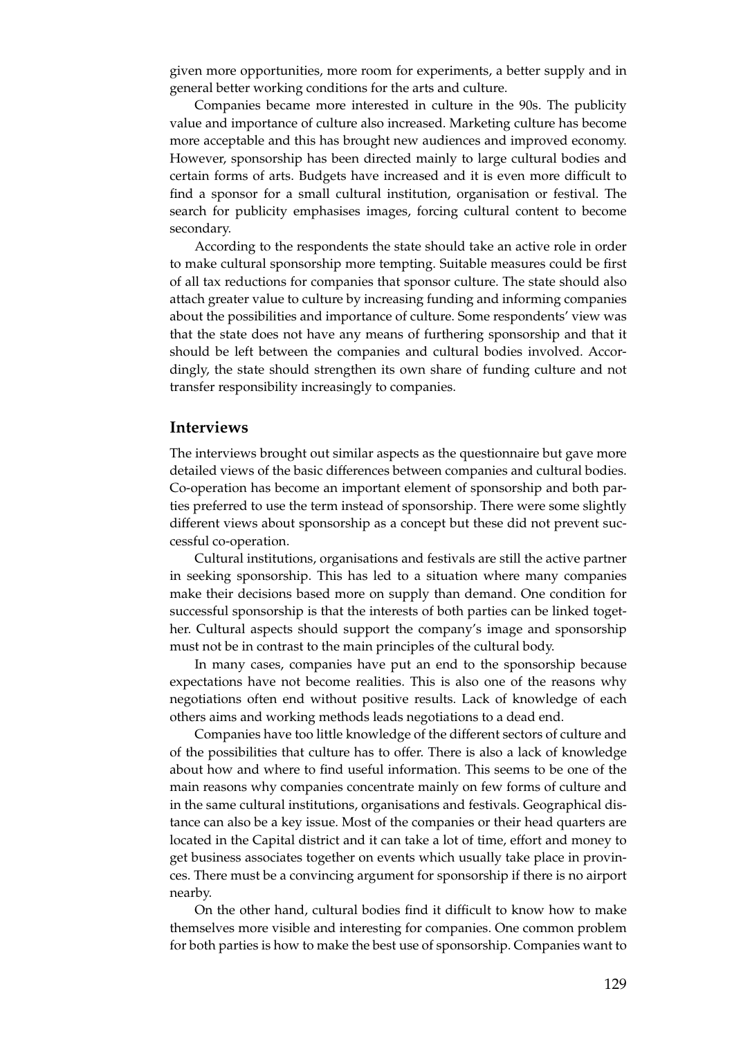given more opportunities, more room for experiments, a better supply and in general better working conditions for the arts and culture.

Companies became more interested in culture in the 90s. The publicity value and importance of culture also increased. Marketing culture has become more acceptable and this has brought new audiences and improved economy. However, sponsorship has been directed mainly to large cultural bodies and certain forms of arts. Budgets have increased and it is even more difficult to find a sponsor for a small cultural institution, organisation or festival. The search for publicity emphasises images, forcing cultural content to become secondary.

According to the respondents the state should take an active role in order to make cultural sponsorship more tempting. Suitable measures could be first of all tax reductions for companies that sponsor culture. The state should also attach greater value to culture by increasing funding and informing companies about the possibilities and importance of culture. Some respondents' view was that the state does not have any means of furthering sponsorship and that it should be left between the companies and cultural bodies involved. Accordingly, the state should strengthen its own share of funding culture and not transfer responsibility increasingly to companies.

### **Interviews**

The interviews brought out similar aspects as the questionnaire but gave more detailed views of the basic differences between companies and cultural bodies. Co-operation has become an important element of sponsorship and both parties preferred to use the term instead of sponsorship. There were some slightly different views about sponsorship as a concept but these did not prevent successful co-operation.

Cultural institutions, organisations and festivals are still the active partner in seeking sponsorship. This has led to a situation where many companies make their decisions based more on supply than demand. One condition for successful sponsorship is that the interests of both parties can be linked together. Cultural aspects should support the company's image and sponsorship must not be in contrast to the main principles of the cultural body.

In many cases, companies have put an end to the sponsorship because expectations have not become realities. This is also one of the reasons why negotiations often end without positive results. Lack of knowledge of each others aims and working methods leads negotiations to a dead end.

Companies have too little knowledge of the different sectors of culture and of the possibilities that culture has to offer. There is also a lack of knowledge about how and where to find useful information. This seems to be one of the main reasons why companies concentrate mainly on few forms of culture and in the same cultural institutions, organisations and festivals. Geographical distance can also be a key issue. Most of the companies or their head quarters are located in the Capital district and it can take a lot of time, effort and money to get business associates together on events which usually take place in provinces. There must be a convincing argument for sponsorship if there is no airport nearby.

On the other hand, cultural bodies find it difficult to know how to make themselves more visible and interesting for companies. One common problem for both parties is how to make the best use of sponsorship. Companies want to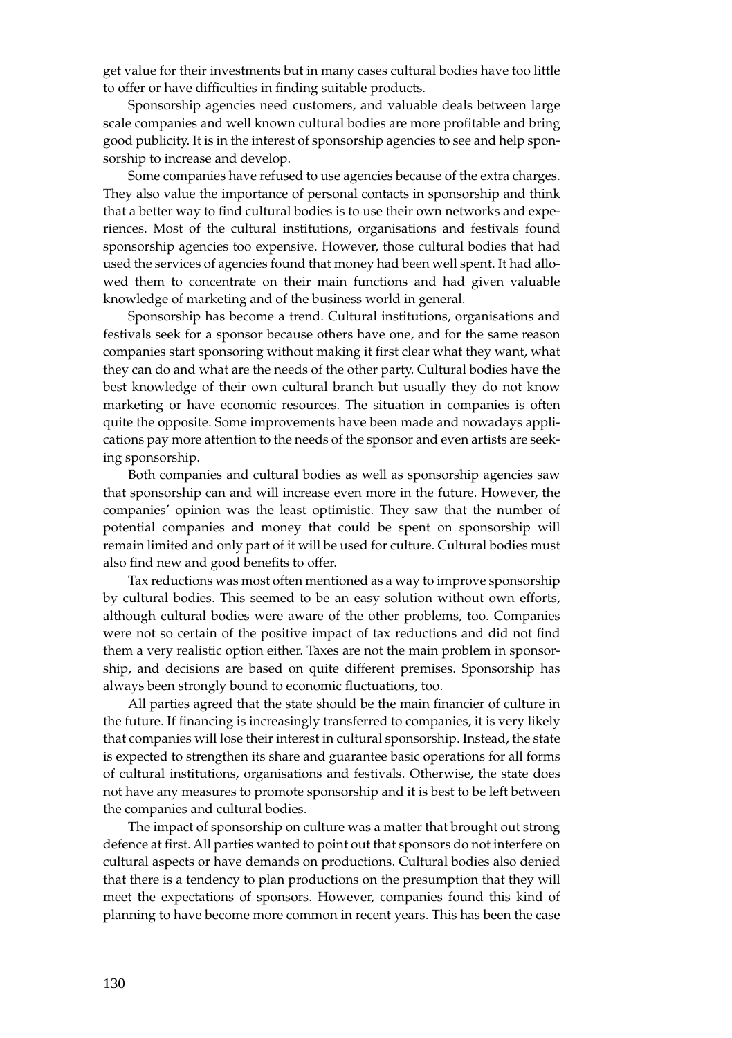get value for their investments but in many cases cultural bodies have too little to offer or have difficulties in finding suitable products.

Sponsorship agencies need customers, and valuable deals between large scale companies and well known cultural bodies are more profitable and bring good publicity. It is in the interest of sponsorship agencies to see and help sponsorship to increase and develop.

Some companies have refused to use agencies because of the extra charges. They also value the importance of personal contacts in sponsorship and think that a better way to find cultural bodies is to use their own networks and experiences. Most of the cultural institutions, organisations and festivals found sponsorship agencies too expensive. However, those cultural bodies that had used the services of agencies found that money had been well spent. It had allowed them to concentrate on their main functions and had given valuable knowledge of marketing and of the business world in general.

Sponsorship has become a trend. Cultural institutions, organisations and festivals seek for a sponsor because others have one, and for the same reason companies start sponsoring without making it first clear what they want, what they can do and what are the needs of the other party. Cultural bodies have the best knowledge of their own cultural branch but usually they do not know marketing or have economic resources. The situation in companies is often quite the opposite. Some improvements have been made and nowadays applications pay more attention to the needs of the sponsor and even artists are seeking sponsorship.

Both companies and cultural bodies as well as sponsorship agencies saw that sponsorship can and will increase even more in the future. However, the companies' opinion was the least optimistic. They saw that the number of potential companies and money that could be spent on sponsorship will remain limited and only part of it will be used for culture. Cultural bodies must also find new and good benefits to offer.

Tax reductions was most often mentioned as a way to improve sponsorship by cultural bodies. This seemed to be an easy solution without own efforts, although cultural bodies were aware of the other problems, too. Companies were not so certain of the positive impact of tax reductions and did not find them a very realistic option either. Taxes are not the main problem in sponsorship, and decisions are based on quite different premises. Sponsorship has always been strongly bound to economic fluctuations, too.

All parties agreed that the state should be the main financier of culture in the future. If financing is increasingly transferred to companies, it is very likely that companies will lose their interest in cultural sponsorship. Instead, the state is expected to strengthen its share and guarantee basic operations for all forms of cultural institutions, organisations and festivals. Otherwise, the state does not have any measures to promote sponsorship and it is best to be left between the companies and cultural bodies.

The impact of sponsorship on culture was a matter that brought out strong defence at first. All parties wanted to point out that sponsors do not interfere on cultural aspects or have demands on productions. Cultural bodies also denied that there is a tendency to plan productions on the presumption that they will meet the expectations of sponsors. However, companies found this kind of planning to have become more common in recent years. This has been the case